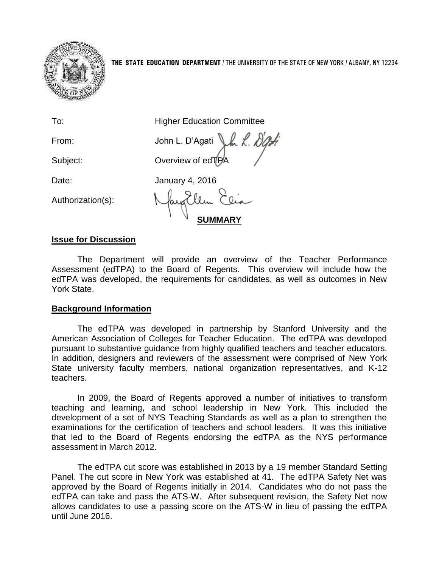

To: **Higher Education Committee** 

Authorization(s):

From: John L. D'Agati J.K. NG Subject: **Overview of edTPA** 

Date: January 4, 2016

**SUMMARY**

## **Issue for Discussion**

The Department will provide an overview of the Teacher Performance Assessment (edTPA) to the Board of Regents. This overview will include how the edTPA was developed, the requirements for candidates, as well as outcomes in New York State.

## **Background Information**

The edTPA was developed in partnership by Stanford University and the American Association of Colleges for Teacher Education. The edTPA was developed pursuant to substantive guidance from highly qualified teachers and teacher educators. In addition, designers and reviewers of the assessment were comprised of New York State university faculty members, national organization representatives, and K-12 teachers.

In 2009, the Board of Regents approved a number of initiatives to transform teaching and learning, and school leadership in New York. This included the development of a set of NYS Teaching Standards as well as a plan to strengthen the examinations for the certification of teachers and school leaders. It was this initiative that led to the Board of Regents endorsing the edTPA as the NYS performance assessment in March 2012.

The edTPA cut score was established in 2013 by a 19 member Standard Setting Panel. The cut score in New York was established at 41. The edTPA Safety Net was approved by the Board of Regents initially in 2014. Candidates who do not pass the edTPA can take and pass the ATS-W. After subsequent revision, the Safety Net now allows candidates to use a passing score on the ATS-W in lieu of passing the edTPA until June 2016.